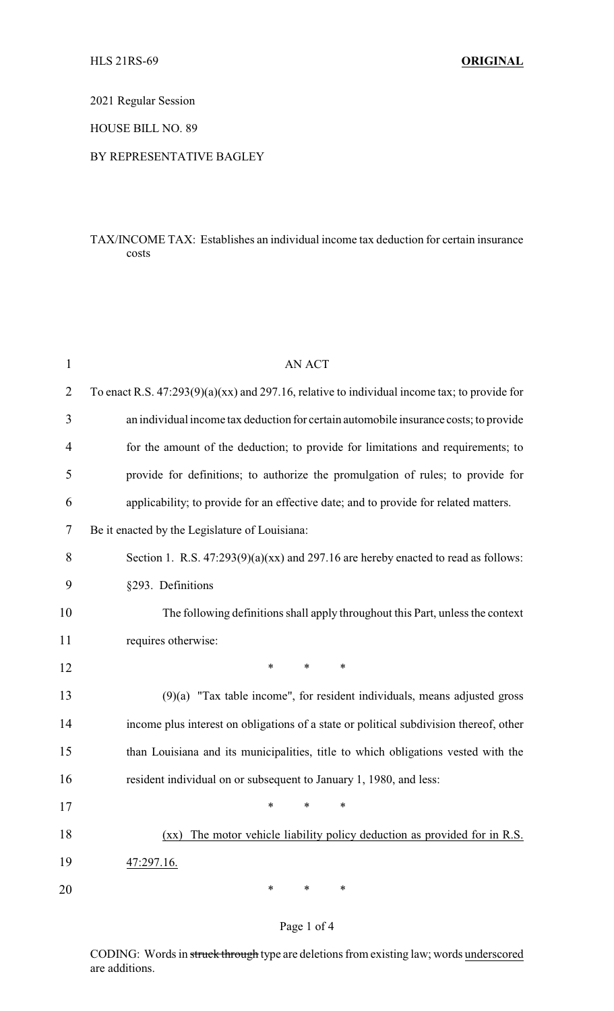2021 Regular Session

HOUSE BILL NO. 89

## BY REPRESENTATIVE BAGLEY

## TAX/INCOME TAX: Establishes an individual income tax deduction for certain insurance costs

| $\mathbf{1}$   | <b>AN ACT</b>                                                                                    |
|----------------|--------------------------------------------------------------------------------------------------|
| $\overline{2}$ | To enact R.S. $47:293(9)(a)(xx)$ and 297.16, relative to individual income tax; to provide for   |
| 3              | an individual income tax deduction for certain automobile insurance costs; to provide            |
| $\overline{4}$ | for the amount of the deduction; to provide for limitations and requirements; to                 |
| 5              | provide for definitions; to authorize the promulgation of rules; to provide for                  |
| 6              | applicability; to provide for an effective date; and to provide for related matters.             |
| 7              | Be it enacted by the Legislature of Louisiana:                                                   |
| 8              | Section 1. R.S. $47:293(9)(a)(xx)$ and 297.16 are hereby enacted to read as follows:             |
| 9              | §293. Definitions                                                                                |
| 10             | The following definitions shall apply throughout this Part, unless the context                   |
| 11             | requires otherwise:                                                                              |
| 12             | $\ast$<br>∗<br>∗                                                                                 |
| 13             | $(9)(a)$ "Tax table income", for resident individuals, means adjusted gross                      |
| 14             | income plus interest on obligations of a state or political subdivision thereof, other           |
| 15             | than Louisiana and its municipalities, title to which obligations vested with the                |
| 16             | resident individual on or subsequent to January 1, 1980, and less:                               |
| 17             | ∗<br>∗<br>∗                                                                                      |
| 18             | The motor vehicle liability policy deduction as provided for in R.S.<br>$(\mathbf{X}\mathbf{X})$ |
| 19             | 47:297.16.                                                                                       |
| 20             | ∗<br>∗<br>∗                                                                                      |

# Page 1 of 4

CODING: Words in struck through type are deletions from existing law; words underscored are additions.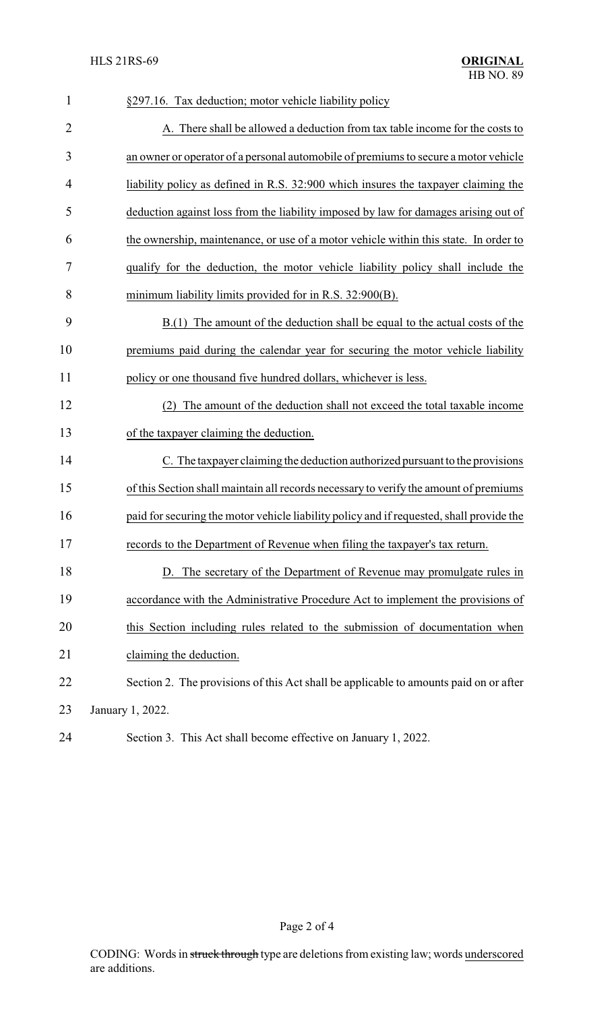| $\mathbf{1}$ | §297.16. Tax deduction; motor vehicle liability policy                                   |
|--------------|------------------------------------------------------------------------------------------|
| 2            | A. There shall be allowed a deduction from tax table income for the costs to             |
| 3            | an owner or operator of a personal automobile of premiums to secure a motor vehicle      |
| 4            | liability policy as defined in R.S. 32:900 which insures the taxpayer claiming the       |
| 5            | deduction against loss from the liability imposed by law for damages arising out of      |
| 6            | the ownership, maintenance, or use of a motor vehicle within this state. In order to     |
| 7            | qualify for the deduction, the motor vehicle liability policy shall include the          |
| 8            | minimum liability limits provided for in R.S. 32:900(B).                                 |
| 9            | B.(1) The amount of the deduction shall be equal to the actual costs of the              |
| 10           | premiums paid during the calendar year for securing the motor vehicle liability          |
| 11           | policy or one thousand five hundred dollars, whichever is less.                          |
| 12           | The amount of the deduction shall not exceed the total taxable income<br>(2)             |
| 13           | of the taxpayer claiming the deduction.                                                  |
| 14           | C. The taxpayer claiming the deduction authorized pursuant to the provisions             |
| 15           | of this Section shall maintain all records necessary to verify the amount of premiums    |
| 16           | paid for securing the motor vehicle liability policy and if requested, shall provide the |
| 17           | records to the Department of Revenue when filing the taxpayer's tax return.              |
| 18           | D. The secretary of the Department of Revenue may promulgate rules in                    |
| 19           | accordance with the Administrative Procedure Act to implement the provisions of          |
| 20           | this Section including rules related to the submission of documentation when             |
| 21           | claiming the deduction.                                                                  |
| 22           | Section 2. The provisions of this Act shall be applicable to amounts paid on or after    |
| 23           | January 1, 2022.                                                                         |
| 24           | Section 3. This Act shall become effective on January 1, 2022.                           |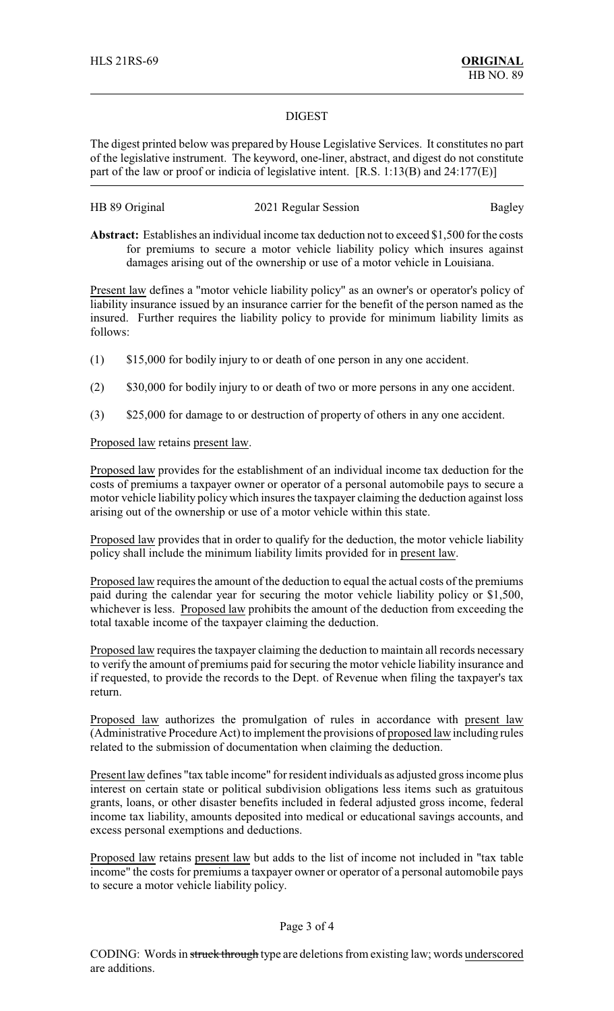#### DIGEST

The digest printed below was prepared by House Legislative Services. It constitutes no part of the legislative instrument. The keyword, one-liner, abstract, and digest do not constitute part of the law or proof or indicia of legislative intent. [R.S. 1:13(B) and 24:177(E)]

| HB 89 Original | 2021 Regular Session | <b>Bagley</b> |
|----------------|----------------------|---------------|
|----------------|----------------------|---------------|

**Abstract:** Establishes an individual income tax deduction not to exceed \$1,500 for the costs for premiums to secure a motor vehicle liability policy which insures against damages arising out of the ownership or use of a motor vehicle in Louisiana.

Present law defines a "motor vehicle liability policy" as an owner's or operator's policy of liability insurance issued by an insurance carrier for the benefit of the person named as the insured. Further requires the liability policy to provide for minimum liability limits as follows:

- (1) \$15,000 for bodily injury to or death of one person in any one accident.
- (2) \$30,000 for bodily injury to or death of two or more persons in any one accident.
- (3) \$25,000 for damage to or destruction of property of others in any one accident.

## Proposed law retains present law.

Proposed law provides for the establishment of an individual income tax deduction for the costs of premiums a taxpayer owner or operator of a personal automobile pays to secure a motor vehicle liability policy which insures the taxpayer claiming the deduction against loss arising out of the ownership or use of a motor vehicle within this state.

Proposed law provides that in order to qualify for the deduction, the motor vehicle liability policy shall include the minimum liability limits provided for in present law.

Proposed law requires the amount of the deduction to equal the actual costs of the premiums paid during the calendar year for securing the motor vehicle liability policy or \$1,500, whichever is less. Proposed law prohibits the amount of the deduction from exceeding the total taxable income of the taxpayer claiming the deduction.

Proposed law requires the taxpayer claiming the deduction to maintain all records necessary to verify the amount of premiums paid for securing the motor vehicle liability insurance and if requested, to provide the records to the Dept. of Revenue when filing the taxpayer's tax return.

Proposed law authorizes the promulgation of rules in accordance with present law (Administrative Procedure Act) to implement the provisions of proposed law including rules related to the submission of documentation when claiming the deduction.

Present law defines "tax table income" for resident individuals as adjusted gross income plus interest on certain state or political subdivision obligations less items such as gratuitous grants, loans, or other disaster benefits included in federal adjusted gross income, federal income tax liability, amounts deposited into medical or educational savings accounts, and excess personal exemptions and deductions.

Proposed law retains present law but adds to the list of income not included in "tax table income" the costs for premiums a taxpayer owner or operator of a personal automobile pays to secure a motor vehicle liability policy.

## Page 3 of 4